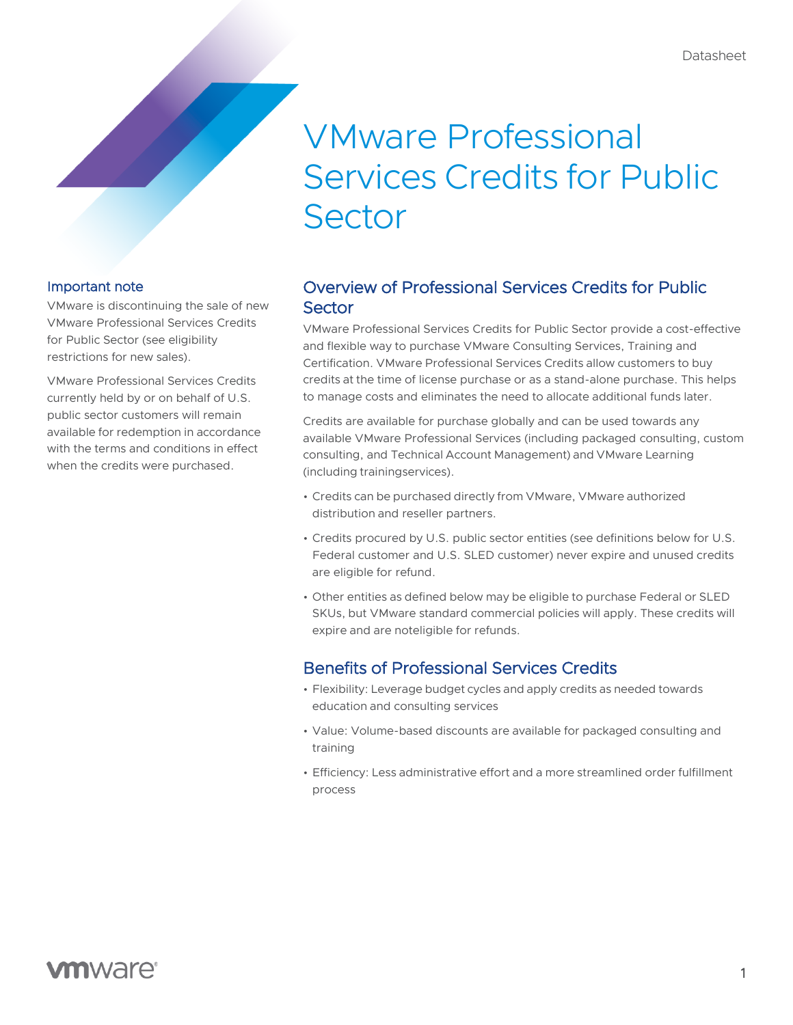# VMware Professional Services Credits for Public **Sector**

#### Important note

VMware is discontinuing the sale of new VMware Professional Services Credits for Public Sector (see eligibility restrictions for new sales).

VMware Professional Services Credits currently held by or on behalf of U.S. public sector customers will remain available for redemption in accordance with the terms and conditions in effect when the credits were purchased.

# Overview of Professional Services Credits for Public **Sector**

VMware Professional Services Credits for Public Sector provide a cost-effective and flexible way to purchase VMware Consulting Services, Training and Certification. VMware Professional Services Credits allow customers to buy credits at the time of license purchase or as a stand-alone purchase. This helps to manage costs and eliminates the need to allocate additional funds later.

Credits are available for purchase globally and can be used towards any available VMware Professional Services (including packaged consulting, custom consulting, and Technical Account Management) and VMware Learning (including trainingservices).

- Credits can be purchased directly from VMware, VMware authorized distribution and reseller partners.
- Credits procured by U.S. public sector entities (see definitions below for U.S. Federal customer and U.S. SLED customer) never expire and unused credits are eligible for refund.
- Other entities as defined below may be eligible to purchase Federal or SLED SKUs, but VMware standard commercial policies will apply. These credits will expire and are noteligible for refunds.

# Benefits of Professional Services Credits

- Flexibility: Leverage budget cycles and apply credits as needed towards education and consulting services
- Value: Volume-based discounts are available for packaged consulting and training
- Efficiency: Less administrative effort and a more streamlined order fulfillment process

# **vm**ware<sup>®</sup>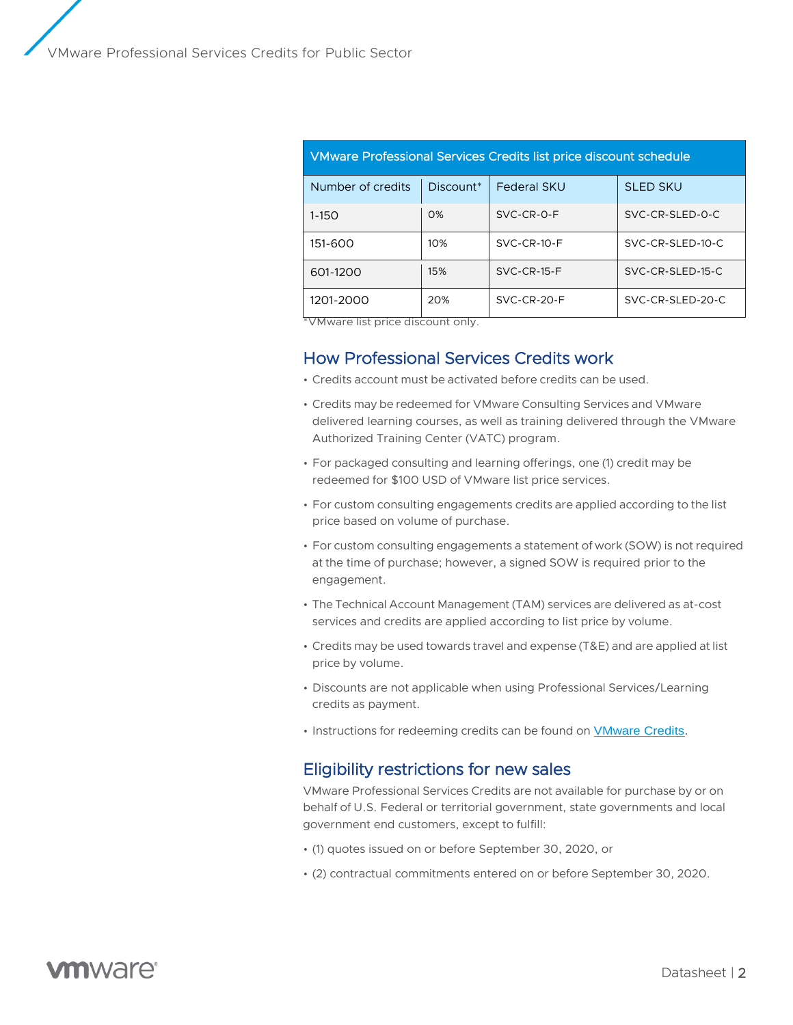| VMware Professional Services Credits list price discount schedule |           |                    |                  |
|-------------------------------------------------------------------|-----------|--------------------|------------------|
| Number of credits                                                 | Discount* | <b>Federal SKU</b> | <b>SLED SKU</b>  |
| $1 - 150$                                                         | O%        | SVC-CR-0-F         | SVC-CR-SLED-0-C  |
| 151-600                                                           | 10%       | SVC-CR-10-F        | SVC-CR-SLED-10-C |
| 601-1200                                                          | 15%       | $SVC-CR-15-F$      | SVC-CR-SLED-15-C |
| 1201-2000                                                         | 20%       | SVC-CR-20-F        | SVC-CR-SLED-20-C |

\*VMware list price discount only.

### How Professional Services Credits work

- Credits account must be activated before credits can be used.
- Credits may be redeemed for VMware Consulting Services and VMware delivered learning courses, as well as training delivered through the VMware Authorized Training Center (VATC) program.
- For packaged consulting and learning offerings, one (1) credit may be redeemed for \$100 USD of VMware list price services.
- For custom consulting engagements credits are applied according to the list price based on volume of purchase.
- For custom consulting engagements a statement of work (SOW) is not required at the time of purchase; however, a signed SOW is required prior to the engagement.
- The Technical Account Management (TAM) services are delivered as at-cost services and credits are applied according to list price by volume.
- Credits may be used towards travel and expense (T&E) and are applied at list price by volume.
- Discounts are not applicable when using Professional Services/Learning credits as payment.
- Instructions for redeeming credits can be found on [VMware Credits.](http://www.vmware.com/go/vmwarecredits)

#### Eligibility restrictions for new sales

VMware Professional Services Credits are not available for purchase by or on behalf of U.S. Federal or territorial government, state governments and local government end customers, except to fulfill:

- (1) quotes issued on or before September 30, 2020, or
- (2) contractual commitments entered on or before September 30, 2020.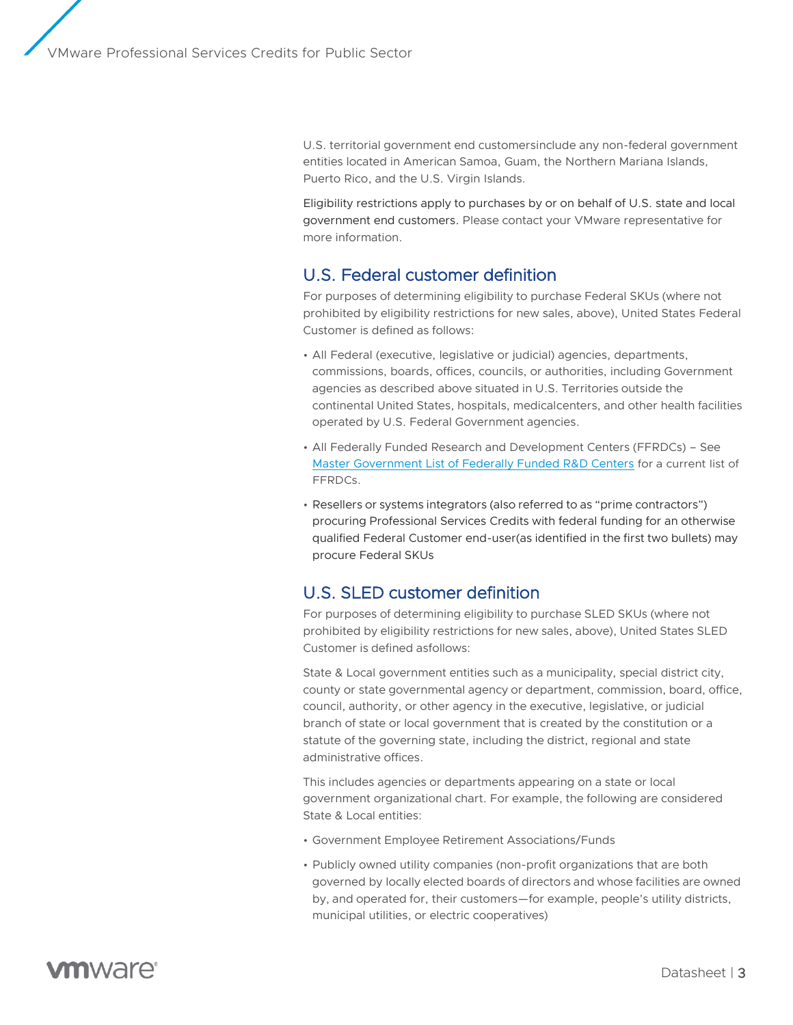U.S. territorial government end customersinclude any non-federal government entities located in American Samoa, Guam, the Northern Mariana Islands, Puerto Rico, and the U.S. Virgin Islands.

Eligibility restrictions apply to purchases by or on behalf of U.S. state and local government end customers. Please contact your VMware representative for more information.

## U.S. Federal customer definition

For purposes of determining eligibility to purchase Federal SKUs (where not prohibited by eligibility restrictions for new sales, above), United States Federal Customer is defined as follows:

- All Federal (executive, legislative or judicial) agencies, departments, commissions, boards, offices, councils, or authorities, including Government agencies as described above situated in U.S. Territories outside the continental United States, hospitals, medicalcenters, and other health facilities operated by U.S. Federal Government agencies.
- All Federally Funded Research and Development Centers (FFRDCs) See [Master Government List of Federally Funded R&D Centers](http://www.nsf.gov/statistics/ffrdclist/) for a current list of FFRDCs.
- Resellers or systems integrators (also referred to as "prime contractors") procuring Professional Services Credits with federal funding for an otherwise qualified Federal Customer end-user(as identified in the first two bullets) may procure Federal SKUs

# U.S. SLED customer definition

For purposes of determining eligibility to purchase SLED SKUs (where not prohibited by eligibility restrictions for new sales, above), United States SLED Customer is defined asfollows:

State & Local government entities such as a municipality, special district city, county or state governmental agency or department, commission, board, office, council, authority, or other agency in the executive, legislative, or judicial branch of state or local government that is created by the constitution or a statute of the governing state, including the district, regional and state administrative offices.

This includes agencies or departments appearing on a state or local government organizational chart. For example, the following are considered State & Local entities:

- Government Employee Retirement Associations/Funds
- Publicly owned utility companies (non-profit organizations that are both governed by locally elected boards of directors and whose facilities are owned by, and operated for, their customers—for example, people's utility districts, municipal utilities, or electric cooperatives)